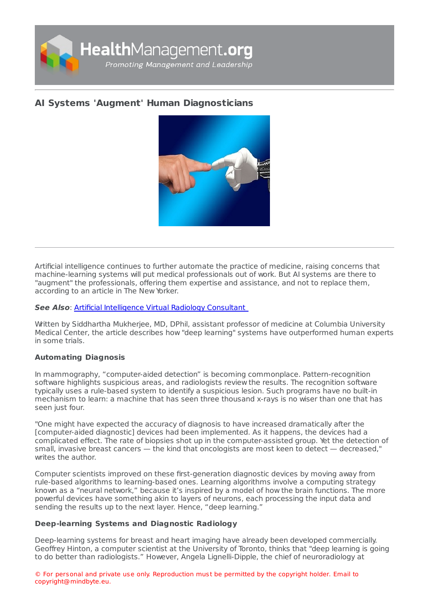

# **AI Systems 'Augment' Human [Diagnosticians](https://healthmanagement.org/s/ai-systems-augment-human-diagnosticians)**



Artificial intelligence continues to further automate the practice of medicine, raising concerns that machine-learning systems will put medical professionals out of work. But AI systems are there to "augment" the professionals, offering them expertise and assistance, and not to replace them, according to an article in The New Yorker.

### **See Also**: Artificial [Intelligence](https://healthmanagement.org/c/imaging/news/artificial-intelligence-virtual-radiology-consultant) Virtual Radiology Consultant

Written by Siddhartha Mukherjee, MD, DPhil, assistant professor of medicine at Columbia University Medical Center, the article describes how "deep learning" systems have outperformed human experts in some trials.

#### **Automating Diagnosis**

In mammography, "computer-aided detection" is becoming commonplace. Pattern-recognition software highlights suspicious areas, and radiologists review the results. The recognition software typically uses a rule-based system to identify a suspicious lesion. Such programs have no built-in mechanism to learn: a machine that has seen three thousand x-rays is no wiser than one that has seen just four.

"One might have expected the accuracy of diagnosis to have increased dramatically after the [computer-aided diagnostic] devices had been implemented. As it happens, the devices had a complicated effect. The rate of biopsies shot up in the computer-assisted group. Yet the detection of small, invasive breast cancers — the kind that oncologists are most keen to detect — decreased," writes the author.

Computer scientists improved on these first-generation diagnostic devices by moving away from rule-based algorithms to learning-based ones. Learning algorithms involve a computing strategy known as a "neural network," because it's inspired by a model of how the brain functions. The more powerful devices have something akin to layers of neurons, each processing the input data and sending the results up to the next layer. Hence, "deep learning."

## **Deep-learning Systems and Diagnostic Radiology**

Deep-learning systems for breast and heart imaging have already been developed commercially. Geoffrey Hinton, a computer scientist at the University of Toronto, thinks that "deep learning is going to do better than radiologists." However, Angela Lignelli-Dipple, the chief of neuroradiology at

© For personal and private use only. Reproduction must be permitted by the copyright holder. Email to copyright@mindbyte.eu.